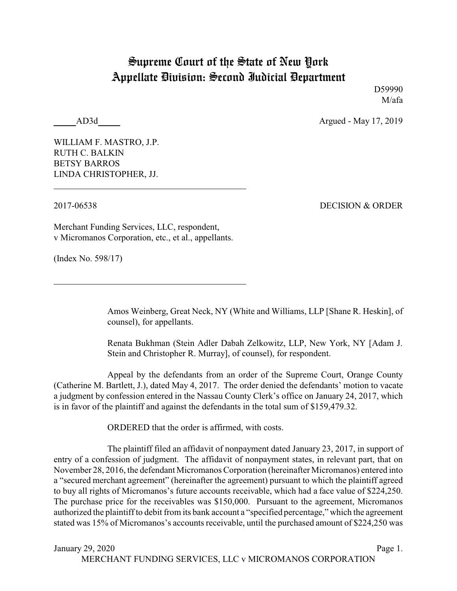## Supreme Court of the State of New York Appellate Division: Second Judicial Department

D59990 M/afa

AD3d Argued - May 17, 2019

WILLIAM F. MASTRO, J.P. RUTH C. BALKIN BETSY BARROS LINDA CHRISTOPHER, JJ.

2017-06538 DECISION & ORDER

Merchant Funding Services, LLC, respondent, v Micromanos Corporation, etc., et al., appellants.

(Index No. 598/17)

Amos Weinberg, Great Neck, NY (White and Williams, LLP [Shane R. Heskin], of counsel), for appellants.

Renata Bukhman (Stein Adler Dabah Zelkowitz, LLP, New York, NY [Adam J. Stein and Christopher R. Murray], of counsel), for respondent.

Appeal by the defendants from an order of the Supreme Court, Orange County (Catherine M. Bartlett, J.), dated May 4, 2017. The order denied the defendants' motion to vacate a judgment by confession entered in the Nassau County Clerk's office on January 24, 2017, which is in favor of the plaintiff and against the defendants in the total sum of \$159,479.32.

ORDERED that the order is affirmed, with costs.

The plaintiff filed an affidavit of nonpayment dated January 23, 2017, in support of entry of a confession of judgment. The affidavit of nonpayment states, in relevant part, that on November 28, 2016, the defendant Micromanos Corporation (hereinafter Micromanos) entered into a "secured merchant agreement" (hereinafter the agreement) pursuant to which the plaintiff agreed to buy all rights of Micromanos's future accounts receivable, which had a face value of \$224,250. The purchase price for the receivables was \$150,000. Pursuant to the agreement, Micromanos authorized the plaintiff to debit from its bank account a "specified percentage," which the agreement stated was 15% of Micromanos's accounts receivable, until the purchased amount of \$224,250 was

January 29, 2020 Page 1.

MERCHANT FUNDING SERVICES, LLC v MICROMANOS CORPORATION